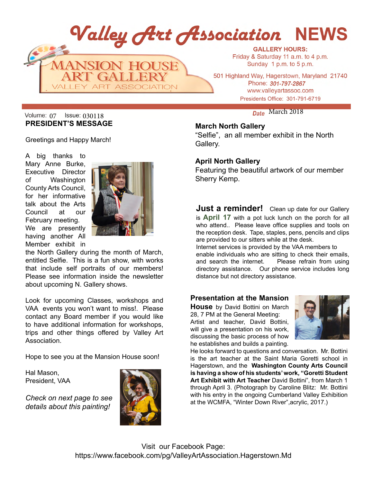

# Volume:  $_{07}$  Issue:  $_{030118}$  and  $_{030118}$  and  $_{030118}$  between  $_{030118}$ **PRESIDENT'S MESSAGE**

Greetings and Happy March!

A big thanks to Mary Anne Burke, Executive Director of Washington County Arts Council, for her informative talk about the Arts Council at our February meeting. We are presently having another All Member exhibit in



the North Gallery during the month of March, entitled Selfie. This is a fun show, with works that include self portraits of our members! Please see information inside the newsletter about upcoming N. Gallery shows.

Look for upcoming Classes, workshops and VAA events you won't want to miss!. Please contact any Board member if you would like to have additional information for workshops, trips and other things offered by Valley Art Association.

Hope to see you at the Mansion House soon!

Hal Mason, President, VAA

*details about this painting!*



# **March North Gallery**

"Selfie", an all member exhibit in the North Gallery.

## **April North Gallery**

Featuring the beautiful artwork of our member Sherry Kemp.

**Just a reminder!** Clean up date for our Gallery is **April 17** with a pot luck lunch on the porch for all who attend.. Please leave office supplies and tools on the reception desk. Tape, staples, pens, pencils and clips are provided to our sitters while at the desk. Internet services is provided by the VAA members to

enable individuals who are sitting to check their emails, and search the internet. Please refrain from using directory assistance. Our phone service includes long distance but not directory assistance.

# **Presentation at the Mansion**

**House** by David Bottini on March 28, 7 PM at the General Meeting: Artist and teacher, David Bottini, will give a presentation on his work. discussing the basic process of how he establishes and builds a painting.



He looks forward to questions and conversation. Mr. Bottini is the art teacher at the Saint Maria Goretti school in Hagerstown, and the **Washington County Arts Council is having a show of his students' work, "Goretti Student Art Exhibit with Art Teacher** David Bottini", from March 1 through April 3. (Photograph by Caroline Blitz: Mr. Bottini with his entry in the ongoing Cumberland Valley Exhibition **Check on next page to see at the WCMFA, "Winter Down River", acrylic, 2017.**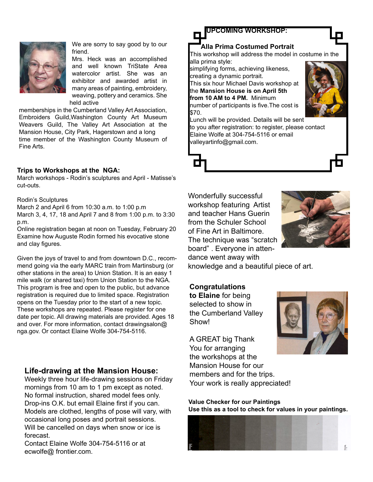

We are sorry to say good by to our friend.

Mrs. Heck was an accomplished and well known TriState Area watercolor artist. She was an exhibitor and awarded artist in many areas of painting, embroidery, weaving, pottery and ceramics. She held active

memberships in the Cumberland Valley Art Association, Embroiders Guild,Washington County Art Museum Weavers Guild, The Valley Art Association at the Mansion House, City Park, Hagerstown and a long time member of the Washington County Museum of Fine Arts.

### **Trips to Workshops at the NGA:**

March workshops - Rodin's sculptures and April - Matisse's cut-outs.

#### Rodin's Sculptures

March 2 and April 6 from 10:30 a.m. to 1:00 p.m March 3, 4, 17, 18 and April 7 and 8 from 1:00 p.m. to 3:30 p.m.

Online registration began at noon on Tuesday, February 20 Examine how Auguste Rodin formed his evocative stone and clay figures.

Given the joys of travel to and from downtown D.C., recommend going via the early MARC train from Martinsburg (or other stations in the area) to Union Station. It is an easy 1 mile walk (or shared taxi) from Union Station to the NGA. This program is free and open to the public, but advance registration is required due to limited space. Registration opens on the Tuesday prior to the start of a new topic. These workshops are repeated. Please register for one date per topic. All drawing materials are provided. Ages 18 and over. For more information, contact drawingsalon@ nga.gov. Or contact Elaine Wolfe 304-754-5116.

## **Life-drawing at the Mansion House:**

Weekly three hour life-drawing sessions on Friday mornings from 10 am to 1 pm except as noted. No formal instruction, shared model fees only. Drop-ins O.K. but email Elaine first if you can. Models are clothed, lengths of pose will vary, with occasional long poses and portrait sessions. Will be cancelled on days when snow or ice is forecast.

Contact Elaine Wolfe 304-754-5116 or at ecwolfe@ frontier.com.



the **Mansion House is on April 5th from 10 AM to 4 PM.** Minimum

number of participants is five.The cost is \$70.



Lunch will be provided. Details will be sent to you after registration: to register, please contact Elaine Wolfe at 304-754-5116 or email valleyartinfo@gmail.com.



Wonderfully successful workshop featuring Artist and teacher Hans Guerin from the Schuler School of Fine Art in Baltimore. The technique was "scratch board" . Everyone in attendance went away with



knowledge and a beautiful piece of art.

## **Congratulations**

**to Elaine** for being selected to show in the Cumberland Valley Show!

A GREAT big Thank You for arranging the workshops at the Mansion House for our members and for the trips. Your work is really appreciated!

**Value Checker for our Paintings Use this as a tool to check for values in your paintings.**

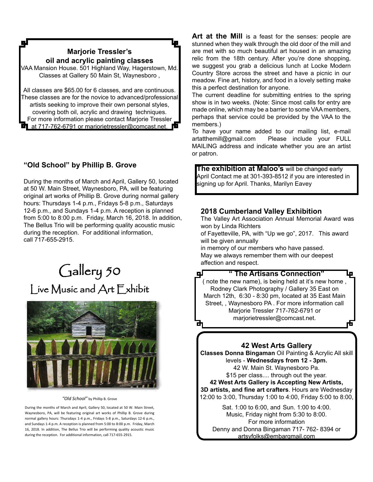# **Marjorie Tressler's oil and acrylic painting classes**

٦J

VAA Mansion House. 501 Highland Way, Hagerstown, Md. Classes at Gallery 50 Main St, Waynesboro ,

All classes are \$65.00 for 6 classes, and are continuous. These classes are for the novice to advanced/professional artists seeking to improve their own personal styles, covering both oil, acrylic and drawing techniques. For more information please contact Marjorie Tressler at 717-762-6791 or mariorietressler@comcast.net.

# **"Old School" by Phillip B. Grove**

During the months of March and April, Gallery 50, located at 50 W. Main Street, Waynesboro, PA, will be featuring original art works of Phillip B. Grove during normal gallery hours: Thursdays 1-4 p.m., Fridays 5-8 p.m., Saturdays 12-6 p.m., and Sundays 1-4 p.m. A reception is planned from 5:00 to 8:00 p.m. Friday, March 16, 2018. In addition, The Bellus Trio will be performing quality acoustic music during the reception. For additional information, call 717-655-2915.

# Gallery 50 Live Music and Art Exhibit



#### *"Old School"* by Phillip B. Grove

During the months of March and April, Gallery 50, located at 50 W. Main Street, Waynesboro, PA, will be featuring original art works of Phillip B. Grove during normal gallery hours: Thursdays 1-4 p.m., Fridays 5-8 p.m., Saturdays 12-6 p.m., and Sundays 1-4 p.m. A reception is planned from 5:00 to 8:00 p.m. Friday, March 16, 2018. In addition, The Bellus Trio will be performing quality acoustic music during the reception. For additional information, call 717-655-2915.

Art at the Mill is a feast for the senses: people are stunned when they walk through the old door of the mill and are met with so much beautiful art housed in an amazing relic from the 18th century. After you're done shopping, we suggest you grab a delicious lunch at Locke Modern Country Store across the street and have a picnic in our meadow. Fine art, history, and food in a lovely setting make this a perfect destination for anyone.

The current deadline for submitting entries to the spring show is in two weeks. (Note: Since most calls for entry are made online, which may be a barrier to some VAA members, perhaps that service could be provided by the VAA to the members.)

To have your name added to our mailing list, e-mail artatthemill@gmail.com Please include your FULL MAILING address and indicate whether you are an artist or patron.

**The exhibition at Maloo's** will be changed early April Contact me at 301-393-8512 if you are interested in signing up for April. Thanks, Marilyn Eavey

## **2018 Cumberland Valley Exhibition**

The Valley Art Association Annual Memorial Award was won by Linda Richters

of Fayetteville, PA, with "Up we go", 2017. This award will be given annually

in memory of our members who have passed. May we always remember them with our deepest affection and respect.



## **42 West Arts Gallery**

**Classes Donna Bingaman** Oil Painting & Acrylic All skill levels - **Wednesdays from 12 - 3pm.**  42 W. Main St. Waynesboro Pa. \$15 per class.... through out the year. **42 West Arts Gallery is Accepting New Artists, 3D artists, and fine art crafters**. Hours are Wednesday

12:00 to 3:00, Thursday 1:00 to 4:00, Friday 5:00 to 8:00,

Sat. 1:00 to 6:00, and Sun. 1:00 to 4:00. Music, Friday night from 5:30 to 8:00. For more information Denny and Donna Bingaman 717- 762- 8394 or artsyfolks@embarqmail.com